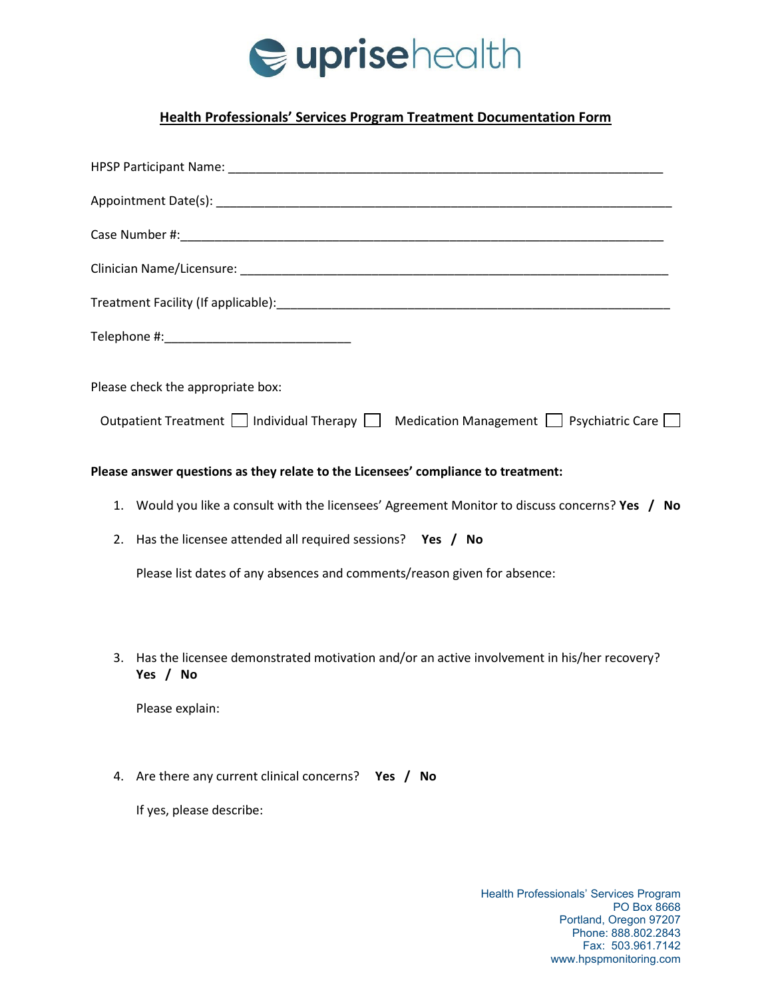

## **Health Professionals' Services Program Treatment Documentation Form**

| Please check the appropriate box:                                                                            |
|--------------------------------------------------------------------------------------------------------------|
| Outpatient Treatment $\Box$ Individual Therapy $\Box$ Medication Management $\Box$ Psychiatric Care $\Box$   |
| Please answer questions as they relate to the Licensees' compliance to treatment:                            |
| 1. Would you like a consult with the licensees' Agreement Monitor to discuss concerns? Yes / No              |
| Has the licensee attended all required sessions? Yes / No<br>2.                                              |
| Please list dates of any absences and comments/reason given for absence:                                     |
|                                                                                                              |
| Has the licensee demonstrated motivation and/or an active involvement in his/her recovery?<br>3.<br>Yes / No |
| Please explain:                                                                                              |

4. Are there any current clinical concerns? **Yes / No**

If yes, please describe: